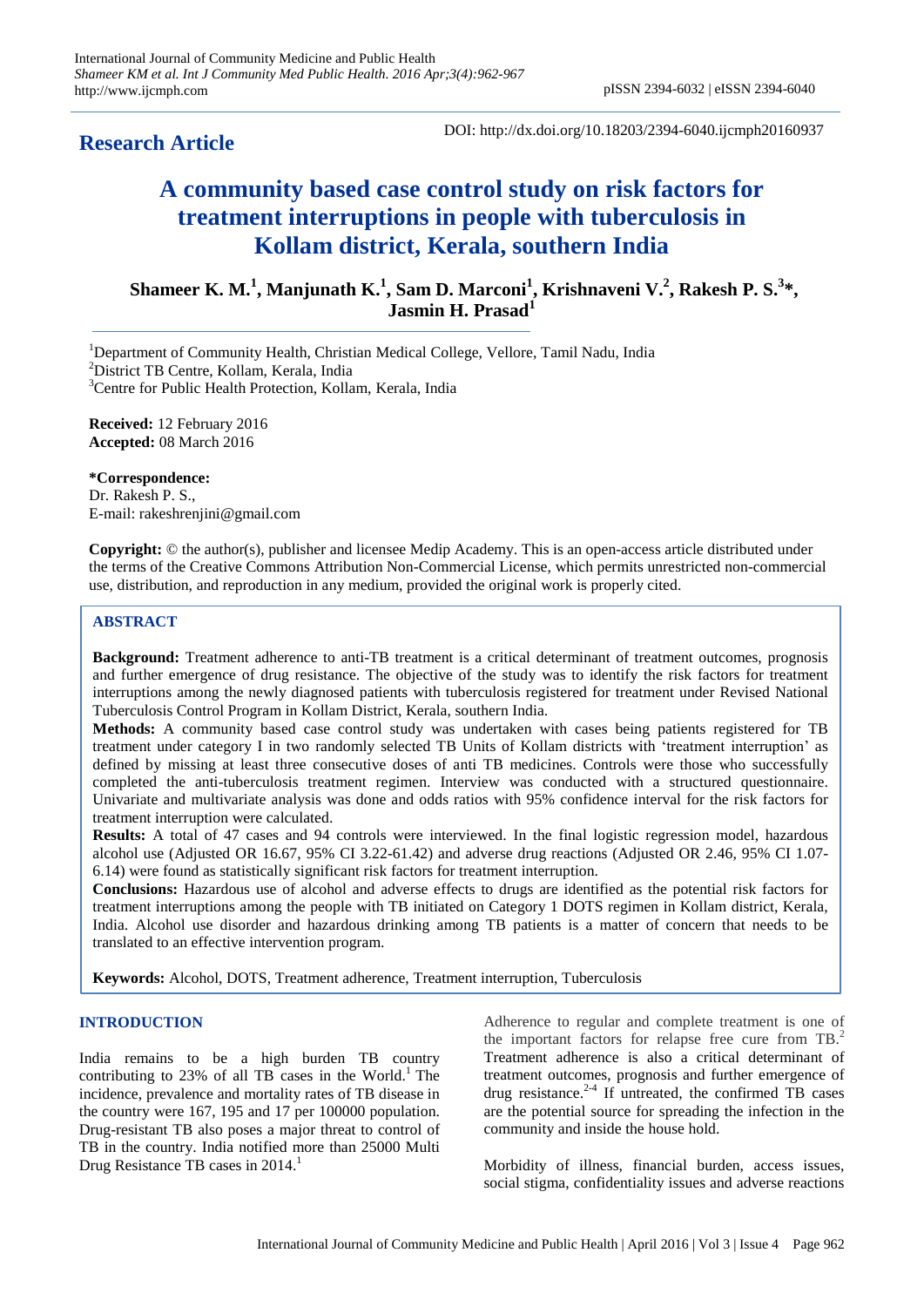# **Research Article**

DOI: http://dx.doi.org/10.18203/2394-6040.ijcmph20160937

# **A community based case control study on risk factors for treatment interruptions in people with tuberculosis in Kollam district, Kerala, southern India**

Shameer K. M.<sup>1</sup>, Manjunath K.<sup>1</sup>, Sam D. Marconi<sup>1</sup>, Krishnaveni V.<sup>2</sup>, Rakesh P. S.<sup>3\*</sup>, **Jasmin H. Prasad<sup>1</sup>**

<sup>1</sup>Department of Community Health, Christian Medical College, Vellore, Tamil Nadu, India <sup>2</sup>District TB Centre, Kollam, Kerala, India <sup>3</sup>Centre for Public Health Protection, Kollam, Kerala, India

**Received:** 12 February 2016 **Accepted:** 08 March 2016

**\*Correspondence:** Dr. Rakesh P. S., E-mail: rakeshrenjini@gmail.com

**Copyright:** © the author(s), publisher and licensee Medip Academy. This is an open-access article distributed under the terms of the Creative Commons Attribution Non-Commercial License, which permits unrestricted non-commercial use, distribution, and reproduction in any medium, provided the original work is properly cited.

# **ABSTRACT**

**Background:** Treatment adherence to anti-TB treatment is a critical determinant of treatment outcomes, prognosis and further emergence of drug resistance. The objective of the study was to identify the risk factors for treatment interruptions among the newly diagnosed patients with tuberculosis registered for treatment under Revised National Tuberculosis Control Program in Kollam District, Kerala, southern India.

**Methods:** A community based case control study was undertaken with cases being patients registered for TB treatment under category I in two randomly selected TB Units of Kollam districts with "treatment interruption" as defined by missing at least three consecutive doses of anti TB medicines. Controls were those who successfully completed the anti-tuberculosis treatment regimen. Interview was conducted with a structured questionnaire. Univariate and multivariate analysis was done and odds ratios with 95% confidence interval for the risk factors for treatment interruption were calculated.

**Results:** A total of 47 cases and 94 controls were interviewed. In the final logistic regression model, hazardous alcohol use (Adjusted OR 16.67, 95% CI 3.22-61.42) and adverse drug reactions (Adjusted OR 2.46, 95% CI 1.07- 6.14) were found as statistically significant risk factors for treatment interruption.

**Conclusions:** Hazardous use of alcohol and adverse effects to drugs are identified as the potential risk factors for treatment interruptions among the people with TB initiated on Category 1 DOTS regimen in Kollam district, Kerala, India. Alcohol use disorder and hazardous drinking among TB patients is a matter of concern that needs to be translated to an effective intervention program.

**Keywords:** Alcohol, DOTS, Treatment adherence, Treatment interruption, Tuberculosis

# **INTRODUCTION**

India remains to be a high burden TB country contributing to  $23\%$  of all TB cases in the World.<sup>1</sup> The incidence, prevalence and mortality rates of TB disease in the country were 167, 195 and 17 per 100000 population. Drug-resistant TB also poses a major threat to control of TB in the country. India notified more than 25000 Multi Drug Resistance TB cases in 2014.

Adherence to regular and complete treatment is one of the important factors for relapse free cure from TB.<sup>2</sup> Treatment adherence is also a critical determinant of treatment outcomes, prognosis and further emergence of drug resistance. $2-4$  If untreated, the confirmed TB cases are the potential source for spreading the infection in the community and inside the house hold.

Morbidity of illness, financial burden, access issues, social stigma, confidentiality issues and adverse reactions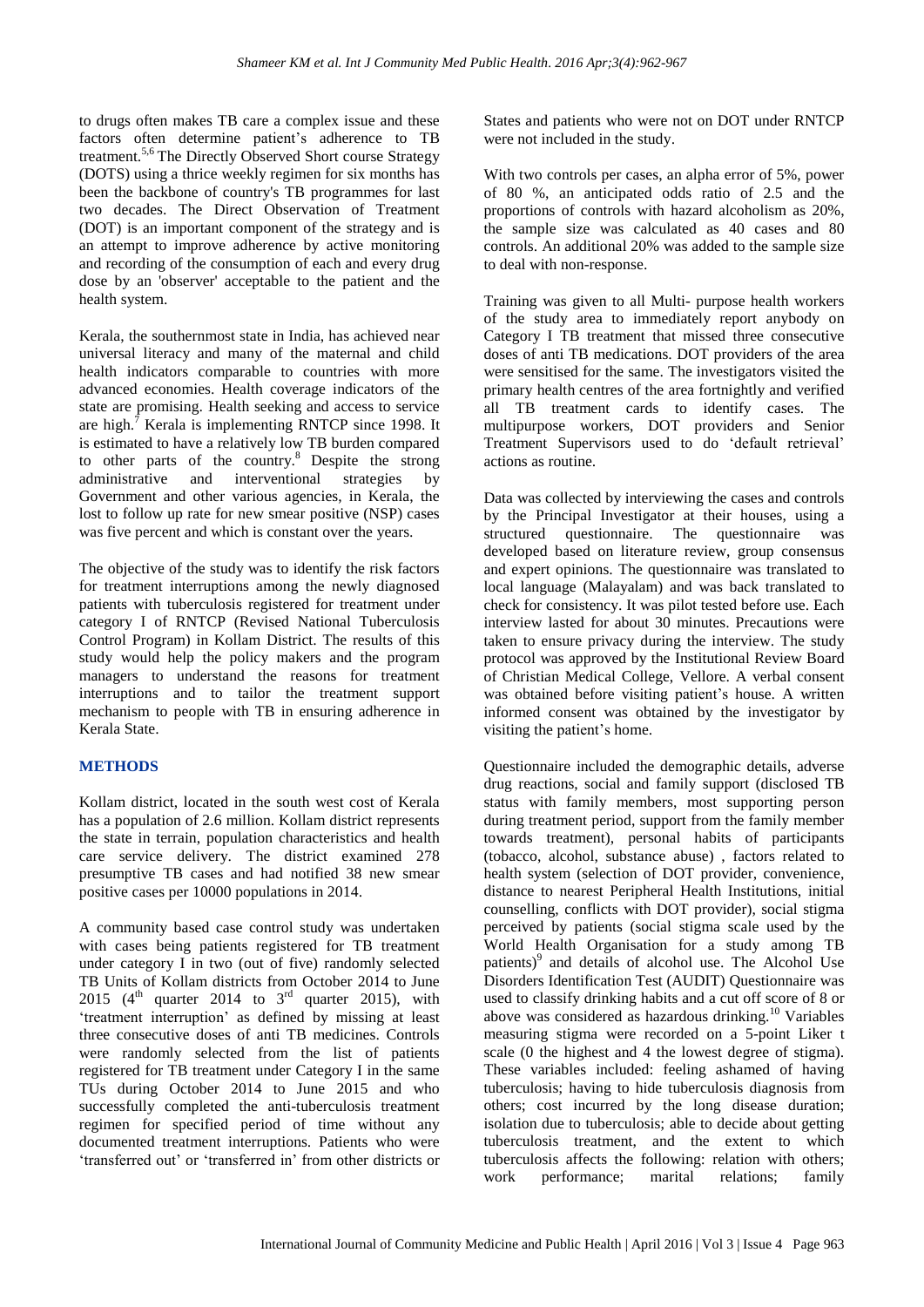to drugs often makes TB care a complex issue and these factors often determine patient's adherence to TB treatment.5,6 The Directly Observed Short course Strategy (DOTS) using a thrice weekly regimen for six months has been the backbone of country's TB programmes for last two decades. The Direct Observation of Treatment (DOT) is an important component of the strategy and is an attempt to improve adherence by active monitoring and recording of the consumption of each and every drug dose by an 'observer' acceptable to the patient and the health system.

Kerala, the southernmost state in India, has achieved near universal literacy and many of the maternal and child health indicators comparable to countries with more advanced economies. Health coverage indicators of the state are promising. Health seeking and access to service are high. $<sup>7</sup>$  Kerala is implementing RNTCP since 1998. It</sup> is estimated to have a relatively low TB burden compared to other parts of the country.<sup>8</sup> Despite the strong administrative and interventional strategies by Government and other various agencies, in Kerala, the lost to follow up rate for new smear positive (NSP) cases was five percent and which is constant over the years.

The objective of the study was to identify the risk factors for treatment interruptions among the newly diagnosed patients with tuberculosis registered for treatment under category I of RNTCP (Revised National Tuberculosis Control Program) in Kollam District. The results of this study would help the policy makers and the program managers to understand the reasons for treatment interruptions and to tailor the treatment support mechanism to people with TB in ensuring adherence in Kerala State.

# **METHODS**

Kollam district, located in the south west cost of Kerala has a population of 2.6 million. Kollam district represents the state in terrain, population characteristics and health care service delivery. The district examined 278 presumptive TB cases and had notified 38 new smear positive cases per 10000 populations in 2014.

A community based case control study was undertaken with cases being patients registered for TB treatment under category I in two (out of five) randomly selected TB Units of Kollam districts from October 2014 to June 2015 ( $4^{\text{th}}$  quarter 2014 to  $3^{\text{rd}}$  quarter 2015), with "treatment interruption" as defined by missing at least three consecutive doses of anti TB medicines. Controls were randomly selected from the list of patients registered for TB treatment under Category I in the same TUs during October 2014 to June 2015 and who successfully completed the anti-tuberculosis treatment regimen for specified period of time without any documented treatment interruptions. Patients who were "transferred out" or "transferred in" from other districts or

States and patients who were not on DOT under RNTCP were not included in the study.

With two controls per cases, an alpha error of 5%, power of 80 %, an anticipated odds ratio of 2.5 and the proportions of controls with hazard alcoholism as 20%, the sample size was calculated as 40 cases and 80 controls. An additional 20% was added to the sample size to deal with non-response.

Training was given to all Multi- purpose health workers of the study area to immediately report anybody on Category I TB treatment that missed three consecutive doses of anti TB medications. DOT providers of the area were sensitised for the same. The investigators visited the primary health centres of the area fortnightly and verified all TB treatment cards to identify cases. The multipurpose workers, DOT providers and Senior Treatment Supervisors used to do "default retrieval" actions as routine.

Data was collected by interviewing the cases and controls by the Principal Investigator at their houses, using a structured questionnaire. The questionnaire was developed based on literature review, group consensus and expert opinions. The questionnaire was translated to local language (Malayalam) and was back translated to check for consistency. It was pilot tested before use. Each interview lasted for about 30 minutes. Precautions were taken to ensure privacy during the interview. The study protocol was approved by the Institutional Review Board of Christian Medical College, Vellore. A verbal consent was obtained before visiting patient's house. A written informed consent was obtained by the investigator by visiting the patient"s home.

Questionnaire included the demographic details, adverse drug reactions, social and family support (disclosed TB status with family members, most supporting person during treatment period, support from the family member towards treatment), personal habits of participants (tobacco, alcohol, substance abuse) , factors related to health system (selection of DOT provider, convenience, distance to nearest Peripheral Health Institutions, initial counselling, conflicts with DOT provider), social stigma perceived by patients (social stigma scale used by the World Health Organisation for a study among TB patients)<sup>9</sup> and details of alcohol use. The Alcohol Use Disorders Identification Test (AUDIT) Questionnaire was used to classify drinking habits and a cut off score of 8 or above was considered as hazardous drinking.<sup>10</sup> Variables measuring stigma were recorded on a 5-point Liker t scale (0 the highest and 4 the lowest degree of stigma). These variables included: feeling ashamed of having tuberculosis; having to hide tuberculosis diagnosis from others; cost incurred by the long disease duration; isolation due to tuberculosis; able to decide about getting tuberculosis treatment, and the extent to which tuberculosis affects the following: relation with others; work performance; marital relations; family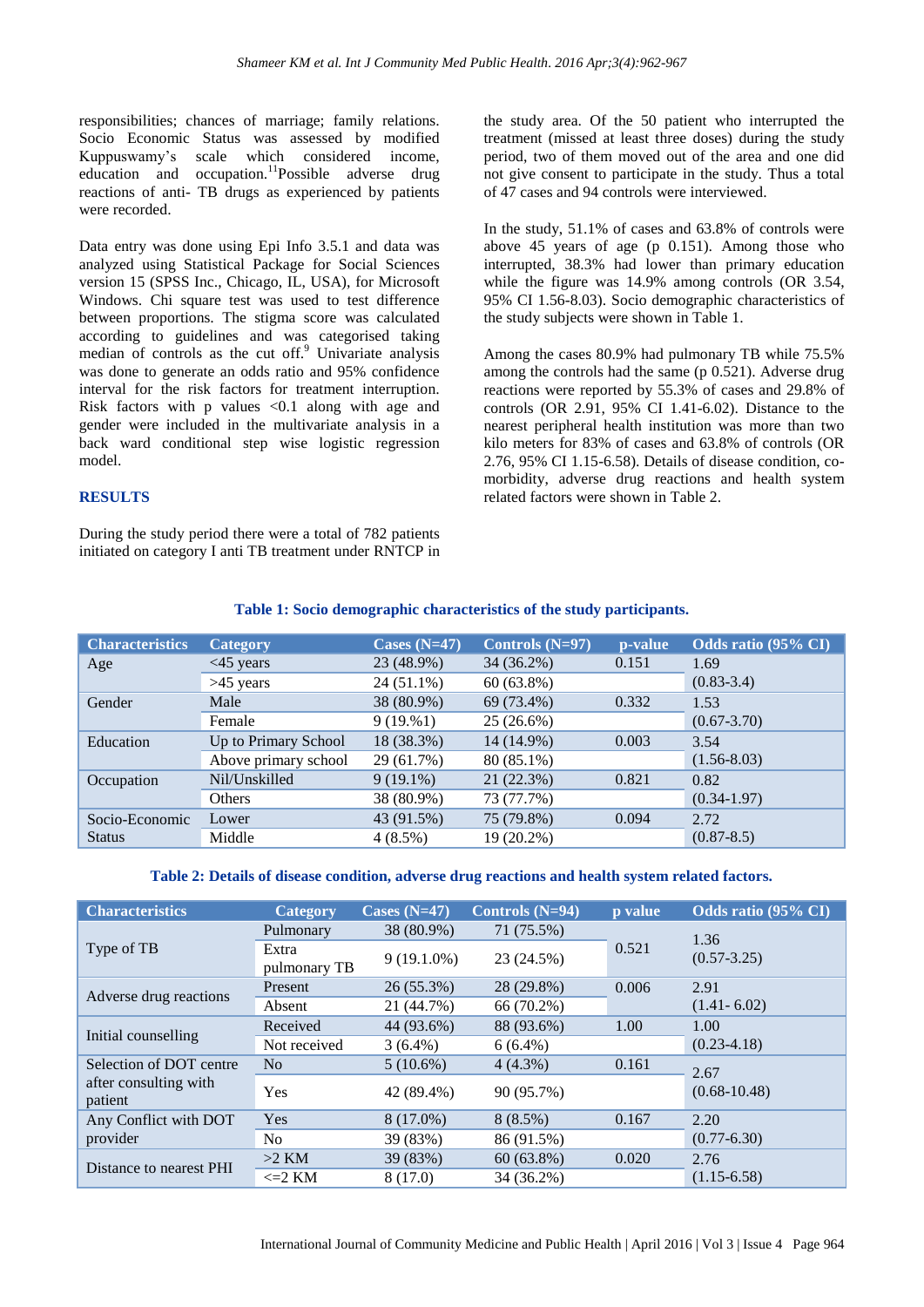responsibilities; chances of marriage; family relations. Socio Economic Status was assessed by modified Kuppuswamy"s scale which considered income, education and occupation.<sup>11</sup>Possible adverse drug reactions of anti- TB drugs as experienced by patients were recorded.

Data entry was done using Epi Info 3.5.1 and data was analyzed using Statistical Package for Social Sciences version 15 (SPSS Inc., Chicago, IL, USA), for Microsoft Windows. Chi square test was used to test difference between proportions. The stigma score was calculated according to guidelines and was categorised taking median of controls as the cut off.<sup>9</sup> Univariate analysis was done to generate an odds ratio and 95% confidence interval for the risk factors for treatment interruption. Risk factors with p values  $\langle 0.1 \rangle$  along with age and gender were included in the multivariate analysis in a back ward conditional step wise logistic regression model.

#### **RESULTS**

During the study period there were a total of 782 patients initiated on category I anti TB treatment under RNTCP in the study area. Of the 50 patient who interrupted the treatment (missed at least three doses) during the study period, two of them moved out of the area and one did not give consent to participate in the study. Thus a total of 47 cases and 94 controls were interviewed.

In the study, 51.1% of cases and 63.8% of controls were above 45 years of age (p 0.151). Among those who interrupted, 38.3% had lower than primary education while the figure was 14.9% among controls (OR 3.54, 95% CI 1.56-8.03). Socio demographic characteristics of the study subjects were shown in Table 1.

Among the cases 80.9% had pulmonary TB while 75.5% among the controls had the same (p 0.521). Adverse drug reactions were reported by 55.3% of cases and 29.8% of controls (OR 2.91, 95% CI 1.41-6.02). Distance to the nearest peripheral health institution was more than two kilo meters for 83% of cases and 63.8% of controls (OR 2.76, 95% CI 1.15-6.58). Details of disease condition, comorbidity, adverse drug reactions and health system related factors were shown in Table 2.

| <b>Characteristics</b> | <b>Category</b>      | Cases $(N=47)$ | Controls $(N=97)$ | p-value | Odds ratio (95% CI) |
|------------------------|----------------------|----------------|-------------------|---------|---------------------|
| Age                    | $<45$ years          | 23 (48.9%)     | 34 (36.2%)        | 0.151   | 1.69                |
|                        | $>45$ years          | 24 (51.1%)     | $60(63.8\%)$      |         | $(0.83 - 3.4)$      |
| Gender                 | Male                 | 38 (80.9%)     | 69 (73.4%)        | 0.332   | 1.53                |
|                        | Female               | 9(19.%1)       | 25(26.6%)         |         | $(0.67 - 3.70)$     |
| Education              | Up to Primary School | 18 (38.3%)     | 14 (14.9%)        | 0.003   | 3.54                |
|                        | Above primary school | 29 (61.7%)     | 80 (85.1%)        |         | $(1.56 - 8.03)$     |
| Occupation             | Nil/Unskilled        | $9(19.1\%)$    | 21 (22.3%)        | 0.821   | 0.82                |
|                        | Others               | 38 (80.9%)     | 73 (77.7%)        |         | $(0.34-1.97)$       |
| Socio-Economic         | Lower                | 43 (91.5%)     | 75 (79.8%)        | 0.094   | 2.72                |
| <b>Status</b>          | Middle               | $4(8.5\%)$     | 19 (20.2%)        |         | $(0.87 - 8.5)$      |

# **Table 1: Socio demographic characteristics of the study participants.**

#### **Table 2: Details of disease condition, adverse drug reactions and health system related factors.**

| <b>Characteristics</b>           | Category              | Cases $(N=47)$ | Controls $(N=94)$ | p value | Odds ratio (95% CI)     |
|----------------------------------|-----------------------|----------------|-------------------|---------|-------------------------|
| Type of TB                       | Pulmonary             | 38 (80.9%)     | 71 (75.5%)        |         | 1.36<br>$(0.57 - 3.25)$ |
|                                  | Extra<br>pulmonary TB | $9(19.1.0\%)$  | 23 (24.5%)        | 0.521   |                         |
| Adverse drug reactions           | Present               | 26 (55.3%)     | 28 (29.8%)        | 0.006   | 2.91                    |
|                                  | Absent                | 21 (44.7%)     | 66 (70.2%)        |         | $(1.41 - 6.02)$         |
|                                  | Received              | 44 (93.6%)     | 88 (93.6%)        | 1.00    | 1.00                    |
| Initial counselling              | Not received          | $3(6.4\%)$     | $6(6.4\%)$        |         | $(0.23 - 4.18)$         |
| Selection of DOT centre          | No                    | $5(10.6\%)$    | $4(4.3\%)$        | 0.161   | 2.67                    |
| after consulting with<br>patient | Yes                   | 42 (89.4%)     | 90 (95.7%)        |         | $(0.68 - 10.48)$        |
| Any Conflict with DOT            | Yes                   | 8 (17.0%)      | $8(8.5\%)$        | 0.167   | 2.20                    |
| provider                         | N <sub>o</sub>        | 39 (83%)       | 86 (91.5%)        |         | $(0.77 - 6.30)$         |
| Distance to nearest PHI          | $>2$ KM               | 39 (83%)       | $60(63.8\%)$      | 0.020   | 2.76                    |
|                                  | $\leq$ 2 KM           | 8(17.0)        | 34 (36.2%)        |         | $(1.15-6.58)$           |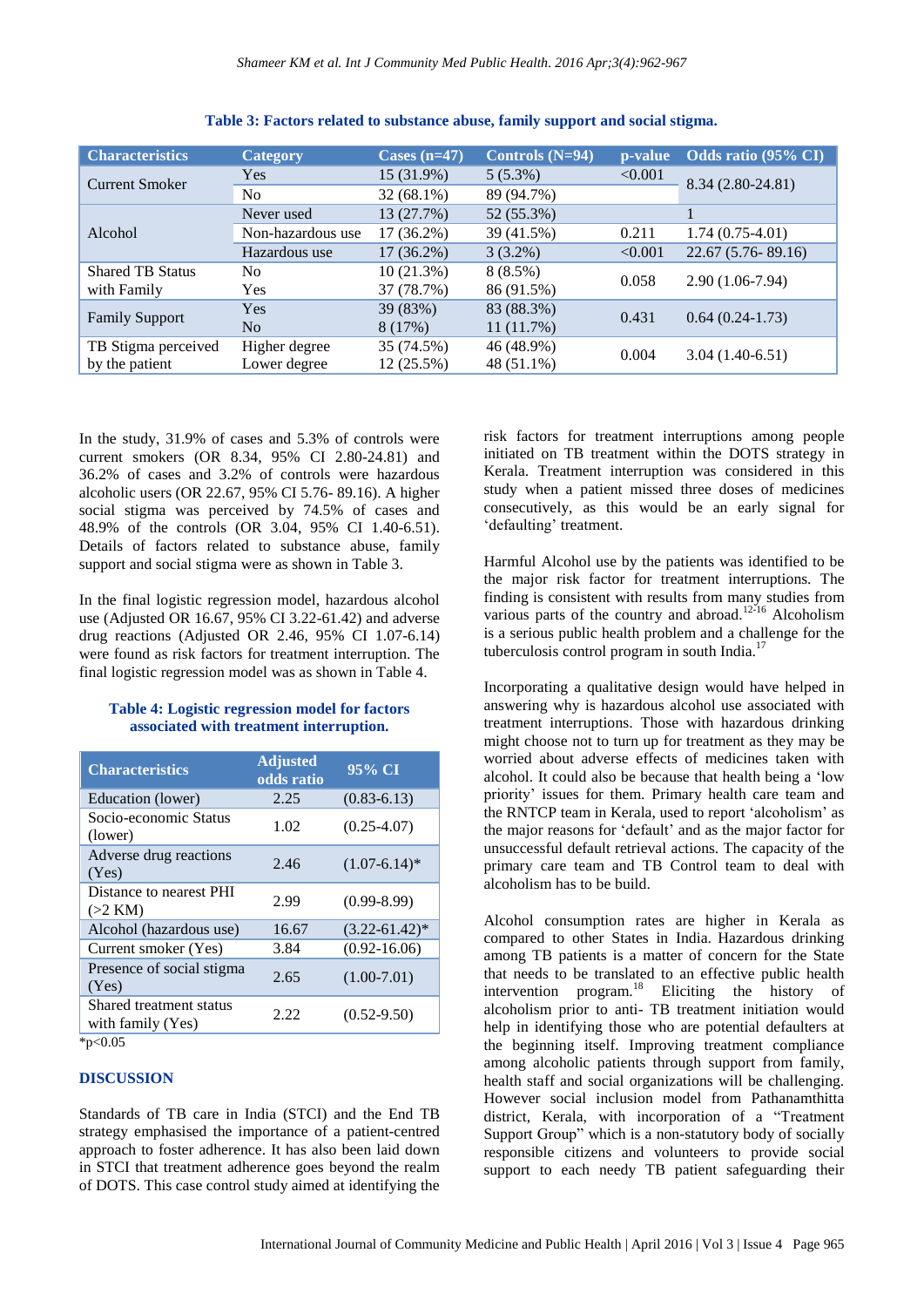| <b>Characteristics</b>  | <b>Category</b>   | Cases $(n=47)$ | Controls $(N=94)$ | p-value | Odds ratio (95% CI) |
|-------------------------|-------------------|----------------|-------------------|---------|---------------------|
| <b>Current Smoker</b>   | Yes               | 15 (31.9%)     | $5(5.3\%)$        | < 0.001 | 8.34 (2.80-24.81)   |
|                         | N <sub>0</sub>    | $32(68.1\%)$   | 89 (94.7%)        |         |                     |
| Alcohol                 | Never used        | 13 (27.7%)     | 52 (55.3%)        |         |                     |
|                         | Non-hazardous use | 17 (36.2%)     | 39 (41.5%)        | 0.211   | $1.74(0.75-4.01)$   |
|                         | Hazardous use     | $17(36.2\%)$   | $3(3.2\%)$        | < 0.001 | $22.67(5.76-89.16)$ |
| <b>Shared TB Status</b> | N <sub>0</sub>    | 10(21.3%)      | $8(8.5\%)$        | 0.058   | $2.90(1.06-7.94)$   |
| with Family             | <b>Yes</b>        | 37 (78.7%)     | 86 (91.5%)        |         |                     |
| <b>Family Support</b>   | Yes               | 39 (83%)       | 83 (88.3%)        | 0.431   | $0.64(0.24-1.73)$   |
|                         | No                | 8(17%)         | 11(11.7%)         |         |                     |
| TB Stigma perceived     | Higher degree     | 35 (74.5%)     | 46 (48.9%)        | 0.004   | $3.04(1.40-6.51)$   |
| by the patient          | Lower degree      | 12 (25.5%)     | 48 (51.1%)        |         |                     |

**Table 3: Factors related to substance abuse, family support and social stigma.**

In the study, 31.9% of cases and 5.3% of controls were current smokers (OR 8.34, 95% CI 2.80-24.81) and 36.2% of cases and 3.2% of controls were hazardous alcoholic users (OR 22.67, 95% CI 5.76- 89.16). A higher social stigma was perceived by 74.5% of cases and 48.9% of the controls (OR 3.04, 95% CI 1.40-6.51). Details of factors related to substance abuse, family support and social stigma were as shown in Table 3.

In the final logistic regression model, hazardous alcohol use (Adjusted OR 16.67, 95% CI 3.22-61.42) and adverse drug reactions (Adjusted OR 2.46, 95% CI 1.07-6.14) were found as risk factors for treatment interruption. The final logistic regression model was as shown in Table 4.

# **Table 4: Logistic regression model for factors associated with treatment interruption.**

| <b>Characteristics</b>                       | <b>Adjusted</b><br>odds ratio | 95% CI             |
|----------------------------------------------|-------------------------------|--------------------|
| Education (lower)                            | 2.25                          | $(0.83 - 6.13)$    |
| Socio-economic Status<br>(lower)             | 1.02                          | $(0.25 - 4.07)$    |
| Adverse drug reactions<br>(Yes)              | 2.46                          | $(1.07-6.14)^*$    |
| Distance to nearest PHI<br>$(>2$ KM)         | 2.99                          | $(0.99 - 8.99)$    |
| Alcohol (hazardous use)                      | 16.67                         | $(3.22 - 61.42)^*$ |
| Current smoker (Yes)                         | 3.84                          | $(0.92 - 16.06)$   |
| Presence of social stigma<br>(Yes)           | 2.65                          | $(1.00-7.01)$      |
| Shared treatment status<br>with family (Yes) | 2.22                          | $(0.52 - 9.50)$    |
| *p< $0.05$                                   |                               |                    |

# **DISCUSSION**

Standards of TB care in India (STCI) and the End TB strategy emphasised the importance of a patient-centred approach to foster adherence. It has also been laid down in STCI that treatment adherence goes beyond the realm of DOTS. This case control study aimed at identifying the

risk factors for treatment interruptions among people initiated on TB treatment within the DOTS strategy in Kerala. Treatment interruption was considered in this study when a patient missed three doses of medicines consecutively, as this would be an early signal for 'defaulting' treatment.

Harmful Alcohol use by the patients was identified to be the major risk factor for treatment interruptions. The finding is consistent with results from many studies from various parts of the country and abroad.<sup>12-16</sup> Alcoholism is a serious public health problem and a challenge for the tuberculosis control program in south India. $^{17}$ 

Incorporating a qualitative design would have helped in answering why is hazardous alcohol use associated with treatment interruptions. Those with hazardous drinking might choose not to turn up for treatment as they may be worried about adverse effects of medicines taken with alcohol. It could also be because that health being a "low priority" issues for them. Primary health care team and the RNTCP team in Kerala, used to report "alcoholism" as the major reasons for "default" and as the major factor for unsuccessful default retrieval actions. The capacity of the primary care team and TB Control team to deal with alcoholism has to be build.

Alcohol consumption rates are higher in Kerala as compared to other States in India. Hazardous drinking among TB patients is a matter of concern for the State that needs to be translated to an effective public health intervention program.<sup>18</sup> Eliciting the history of alcoholism prior to anti- TB treatment initiation would help in identifying those who are potential defaulters at the beginning itself. Improving treatment compliance among alcoholic patients through support from family, health staff and social organizations will be challenging. However social inclusion model from Pathanamthitta district, Kerala, with incorporation of a "Treatment Support Group" which is a non-statutory body of socially responsible citizens and volunteers to provide social support to each needy TB patient safeguarding their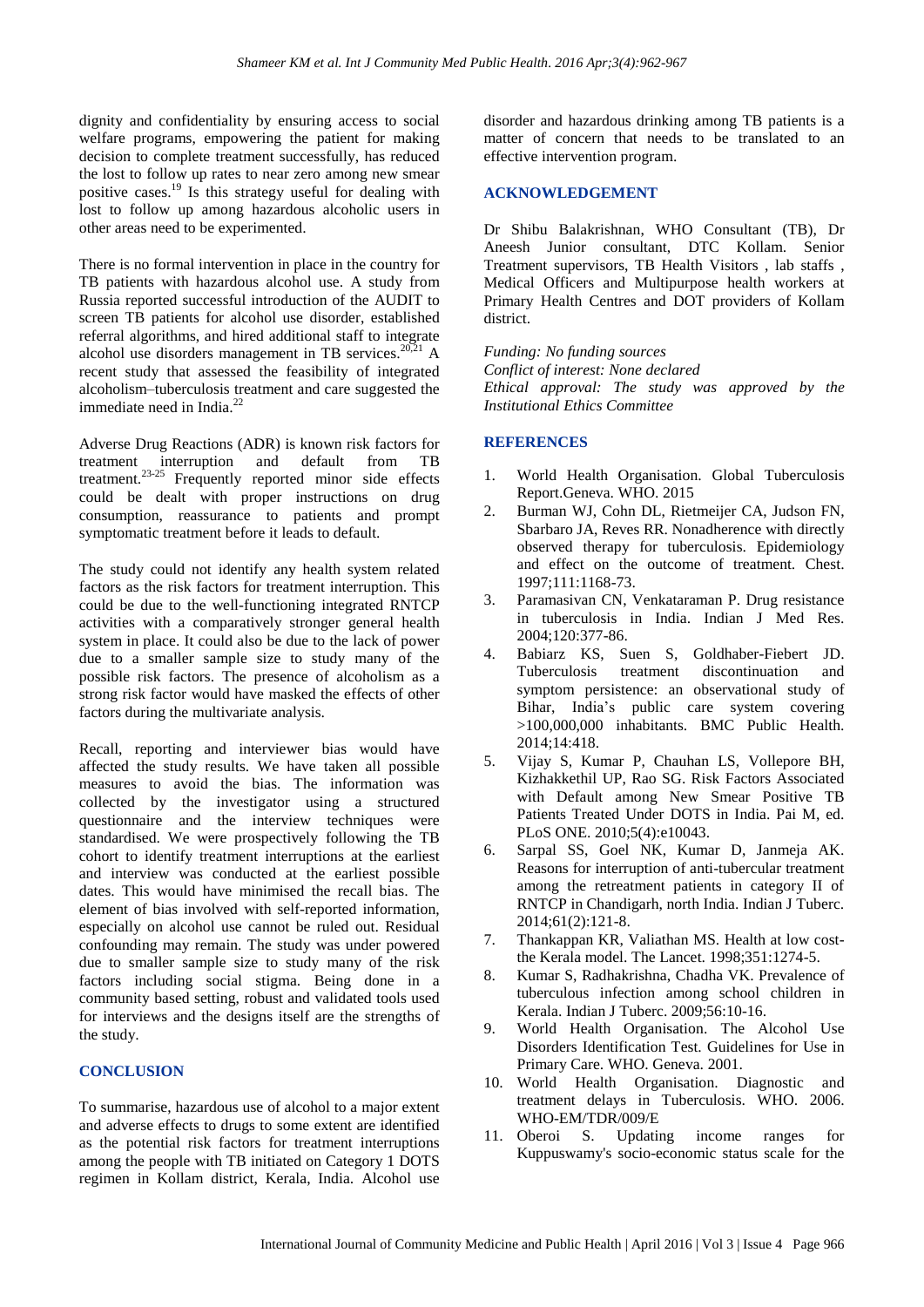dignity and confidentiality by ensuring access to social welfare programs, empowering the patient for making decision to complete treatment successfully, has reduced the lost to follow up rates to near zero among new smear positive cases.<sup>19</sup> Is this strategy useful for dealing with lost to follow up among hazardous alcoholic users in other areas need to be experimented.

There is no formal intervention in place in the country for TB patients with hazardous alcohol use. A study from Russia reported successful introduction of the AUDIT to screen TB patients for alcohol use disorder, established referral algorithms, and hired additional staff to integrate alcohol use disorders management in TB services. $20,21$  A recent study that assessed the feasibility of integrated alcoholism–tuberculosis treatment and care suggested the immediate need in India. $^{22}$ 

Adverse Drug Reactions (ADR) is known risk factors for treatment interruption and default from TB treatment.<sup>23-25</sup> Frequently reported minor side effects could be dealt with proper instructions on drug consumption, reassurance to patients and prompt symptomatic treatment before it leads to default.

The study could not identify any health system related factors as the risk factors for treatment interruption. This could be due to the well-functioning integrated RNTCP activities with a comparatively stronger general health system in place. It could also be due to the lack of power due to a smaller sample size to study many of the possible risk factors. The presence of alcoholism as a strong risk factor would have masked the effects of other factors during the multivariate analysis.

Recall, reporting and interviewer bias would have affected the study results. We have taken all possible measures to avoid the bias. The information was collected by the investigator using a structured questionnaire and the interview techniques were standardised. We were prospectively following the TB cohort to identify treatment interruptions at the earliest and interview was conducted at the earliest possible dates. This would have minimised the recall bias. The element of bias involved with self-reported information, especially on alcohol use cannot be ruled out. Residual confounding may remain. The study was under powered due to smaller sample size to study many of the risk factors including social stigma. Being done in a community based setting, robust and validated tools used for interviews and the designs itself are the strengths of the study.

#### **CONCLUSION**

To summarise, hazardous use of alcohol to a major extent and adverse effects to drugs to some extent are identified as the potential risk factors for treatment interruptions among the people with TB initiated on Category 1 DOTS regimen in Kollam district, Kerala, India. Alcohol use disorder and hazardous drinking among TB patients is a matter of concern that needs to be translated to an effective intervention program.

#### **ACKNOWLEDGEMENT**

Dr Shibu Balakrishnan, WHO Consultant (TB), Dr Aneesh Junior consultant, DTC Kollam. Senior Treatment supervisors, TB Health Visitors , lab staffs , Medical Officers and Multipurpose health workers at Primary Health Centres and DOT providers of Kollam district.

*Funding: No funding sources Conflict of interest: None declared Ethical approval: The study was approved by the Institutional Ethics Committee*

# **REFERENCES**

- 1. World Health Organisation. Global Tuberculosis Report.Geneva. WHO. 2015
- 2. Burman WJ, Cohn DL, Rietmeijer CA, Judson FN, Sbarbaro JA, Reves RR. Nonadherence with directly observed therapy for tuberculosis. Epidemiology and effect on the outcome of treatment. Chest. 1997;111:1168-73.
- 3. Paramasivan CN, Venkataraman P. Drug resistance in tuberculosis in India. Indian J Med Res. 2004;120:377-86.
- 4. Babiarz KS, Suen S, Goldhaber-Fiebert JD. Tuberculosis treatment discontinuation and symptom persistence: an observational study of Bihar, India"s public care system covering >100,000,000 inhabitants. BMC Public Health. 2014;14:418.
- 5. Vijay S, Kumar P, Chauhan LS, Vollepore BH, Kizhakkethil UP, Rao SG. Risk Factors Associated with Default among New Smear Positive TB Patients Treated Under DOTS in India. Pai M, ed. PLoS ONE. 2010;5(4):e10043.
- 6. Sarpal SS, Goel NK, Kumar D, Janmeja AK. Reasons for interruption of anti-tubercular treatment among the retreatment patients in category II of RNTCP in Chandigarh, north India. Indian J Tuberc. 2014;61(2):121-8.
- 7. Thankappan KR, Valiathan MS. Health at low costthe Kerala model. The Lancet. 1998;351:1274-5.
- 8. Kumar S, Radhakrishna, Chadha VK. Prevalence of tuberculous infection among school children in Kerala. Indian J Tuberc. 2009;56:10-16.
- 9. World Health Organisation. The Alcohol Use Disorders Identification Test. Guidelines for Use in Primary Care. WHO. Geneva. 2001.
- 10. World Health Organisation. Diagnostic and treatment delays in Tuberculosis. WHO. 2006. WHO-EM/TDR/009/E
- 11. Oberoi S. Updating income ranges for Kuppuswamy's socio-economic status scale for the